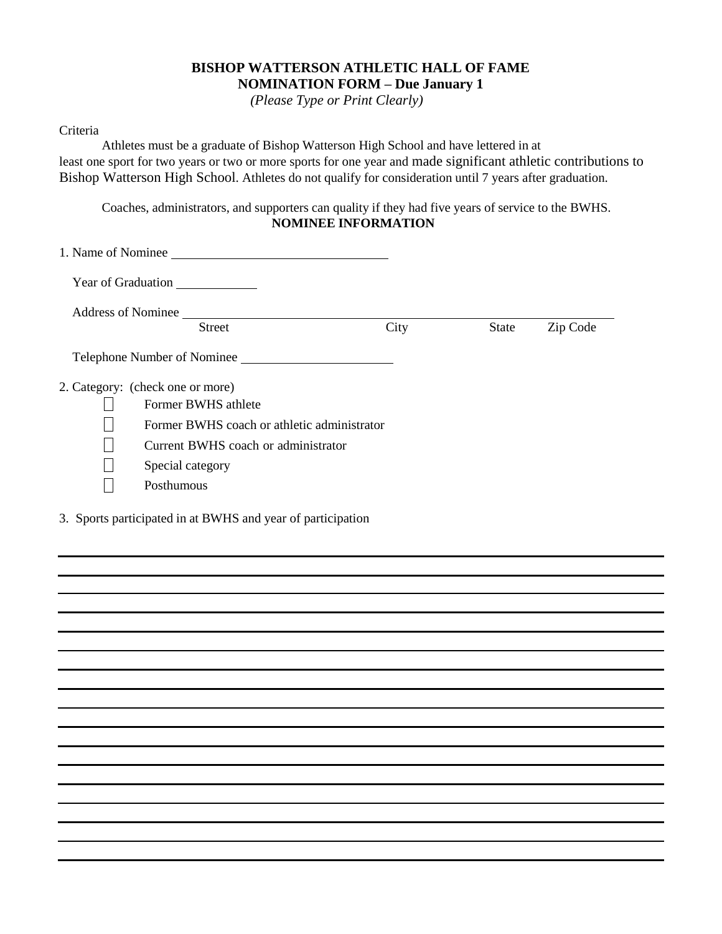## **BISHOP WATTERSON ATHLETIC HALL OF FAME NOMINATION FORM – Due January 1**

*(Please Type or Print Clearly)*

## Criteria

Athletes must be a graduate of Bishop Watterson High School and have lettered in at least one sport for two years or two or more sports for one year and made significant athletic contributions to Bishop Watterson High School. Athletes do not qualify for consideration until 7 years after graduation.

Coaches, administrators, and supporters can quality if they had five years of service to the BWHS. **NOMINEE INFORMATION**

|                           | 1. Name of Nominee                          |      |              |          |  |
|---------------------------|---------------------------------------------|------|--------------|----------|--|
|                           | <b>Year of Graduation</b>                   |      |              |          |  |
| <b>Address of Nominee</b> |                                             |      |              |          |  |
|                           | <b>Street</b>                               | City | <b>State</b> | Zip Code |  |
|                           | Telephone Number of Nominee                 |      |              |          |  |
|                           | 2. Category: (check one or more)            |      |              |          |  |
|                           | Former BWHS athlete                         |      |              |          |  |
|                           | Former BWHS coach or athletic administrator |      |              |          |  |
|                           | Current BWHS coach or administrator         |      |              |          |  |
|                           | Special category                            |      |              |          |  |
|                           | Posthumous                                  |      |              |          |  |
|                           |                                             |      |              |          |  |

3. Sports participated in at BWHS and year of participation